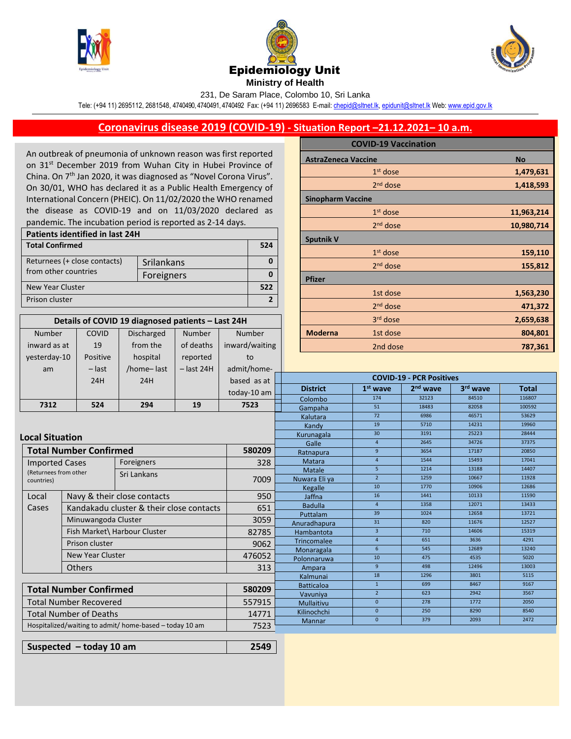

Number

COVID





231, De Saram Place, Colombo 10, Sri Lanka

Tele: (+94 11) 2695112, 2681548, 4740490, 4740491, 4740492 Fax: (+94 11) 2696583 E-mail[: chepid@sltnet.lk,](mailto:chepi@sltnet.lk) [epidunit@sltnet.lk](mailto:epidunit@sltnet.lk) Web[: www.epid.gov.lk](http://www.epid.gov.lk/)

## **Coronavirus disease 2019 (COVID-19) - Situation Report –21.12.2021– 10 a.m.**

An outbreak of pneumonia of unknown reason was first reported on 31<sup>st</sup> December 2019 from Wuhan City in Hubei Province of China. On 7<sup>th</sup> Jan 2020, it was diagnosed as "Novel Corona Virus". On 30/01, WHO has declared it as a Public Health Emergency of International Concern (PHEIC). On 11/02/2020 the WHO renamed the disease as COVID-19 and on 11/03/2020 declared as pandemic. The incubation period is reported as 2-14 days.

| <b>Patients identified in last 24H</b> |            |  |  |  |  |
|----------------------------------------|------------|--|--|--|--|
| <b>Total Confirmed</b>                 |            |  |  |  |  |
| Returnees (+ close contacts)           | Srilankans |  |  |  |  |
| from other countries                   | Foreigners |  |  |  |  |
| New Year Cluster                       |            |  |  |  |  |
| Prison cluster                         |            |  |  |  |  |

**Details of COVID 19 diagnosed patients – Last 24H**

Number

Number

Discharged

|                          | <b>COVID-19 Vaccination</b> |            |  |  |
|--------------------------|-----------------------------|------------|--|--|
|                          | <b>AstraZeneca Vaccine</b>  |            |  |  |
|                          | $1st$ dose                  | 1,479,631  |  |  |
|                          | $2nd$ dose                  | 1,418,593  |  |  |
| <b>Sinopharm Vaccine</b> |                             |            |  |  |
|                          | $1st$ dose                  | 11,963,214 |  |  |
|                          | $2nd$ dose                  | 10,980,714 |  |  |
| <b>Sputnik V</b>         |                             |            |  |  |
|                          | $1st$ dose                  | 159,110    |  |  |
|                          | $2nd$ dose                  | 155,812    |  |  |
| <b>Pfizer</b>            |                             |            |  |  |
|                          | 1st dose                    | 1,563,230  |  |  |
|                          | $2nd$ dose                  | 471,372    |  |  |
|                          | 3rd dose                    | 2,659,638  |  |  |
| <b>Moderna</b>           | 1st dose                    | 804,801    |  |  |
|                          | 2nd dose                    | 787,361    |  |  |

| Positive<br>yesterday-10<br>hospital<br>reported<br>to<br>admit/home-<br>$-$ last 24H<br>$-$ last<br>/home-last<br>am<br><b>COVID-19 - PCR Positives</b><br>24H<br>24H<br>based as at<br>2 <sup>nd</sup> wave<br>3rd wave<br><b>District</b><br>1 <sup>st</sup> wave<br><b>Total</b><br>today-10 am<br>32123<br>84510<br>116807<br>174<br>Colombo<br>7312<br>524<br>294<br>19<br>7523<br>82058<br>51<br>100592<br>18483<br>Gampaha<br>72<br>46571<br>53629<br>6986<br>Kalutara<br>19<br>5710<br>14231<br>19960<br>Kandv<br>30<br>25223<br>28444<br>3191<br>Kurunagala<br><b>Local Situation</b><br>34726<br>2645<br>37375<br>$\overline{4}$<br>Galle<br><b>Total Number Confirmed</b><br>580209<br>9<br>17187<br>20850<br>3654<br>Ratnapura<br>15493<br>1544<br>17041<br>$\overline{4}$<br>Matara<br>Foreigners<br><b>Imported Cases</b><br>328<br>5<br>13188<br>1214<br>14407<br>Matale<br>(Returnees from other<br>Sri Lankans<br>$\overline{2}$<br>10667<br>1259<br>11928<br>Nuwara Eli ya<br>7009<br>countries)<br>10<br>10906<br>1770<br>12686<br>Kegalle<br>950<br>16<br>10133<br>Local<br>Navy & their close contacts<br>11590<br>1441<br>Jaffna<br>1358<br>12071<br>13433<br>$\overline{4}$<br><b>Badulla</b><br>Kandakadu cluster & their close contacts<br>Cases<br>651<br>39<br>1024<br>12658<br>13721<br>Puttalam<br>Minuwangoda Cluster<br>3059<br>31<br>820<br>11676<br>12527<br>Anuradhapura<br>Fish Market\ Harbour Cluster<br>$\overline{3}$<br>710<br>14606<br>15319<br>82785<br>Hambantota<br>$\overline{4}$<br>3636<br>4291<br>651<br><b>Trincomalee</b><br>Prison cluster<br>9062<br>12689<br>$6^{\circ}$<br>545<br>13240<br>Monaragala<br>New Year Cluster<br>476052<br>10<br>475<br>4535<br>5020<br>Polonnaruwa<br>9<br>12496<br>498<br>13003<br><b>Others</b><br>313<br>Ampara<br>18<br>3801<br>1296<br>5115<br>Kalmunai<br>$\mathbf{1}$<br>699<br>8467<br>9167<br><b>Batticaloa</b><br><b>Total Number Confirmed</b><br>580209<br>$\overline{2}$<br>623<br>2942<br>3567<br>Vavuniya<br>Total Number Recovered<br>557915<br>$\mathbf{0}$<br>278<br>1772<br>2050<br>Mullaitivu<br>$\mathbf{0}$<br>250<br>8290<br>8540<br>Kilinochchi<br><b>Total Number of Deaths</b><br>14771<br>2093<br>$\mathbf{0}$<br>379<br>2472<br>Mannar<br>Hospitalized/waiting to admit/ home-based - today 10 am<br>7523 | inward as at | 19 | from the | of deaths | inward/waiting |  | 2nd dose |  |  | 787,361 |  |
|---------------------------------------------------------------------------------------------------------------------------------------------------------------------------------------------------------------------------------------------------------------------------------------------------------------------------------------------------------------------------------------------------------------------------------------------------------------------------------------------------------------------------------------------------------------------------------------------------------------------------------------------------------------------------------------------------------------------------------------------------------------------------------------------------------------------------------------------------------------------------------------------------------------------------------------------------------------------------------------------------------------------------------------------------------------------------------------------------------------------------------------------------------------------------------------------------------------------------------------------------------------------------------------------------------------------------------------------------------------------------------------------------------------------------------------------------------------------------------------------------------------------------------------------------------------------------------------------------------------------------------------------------------------------------------------------------------------------------------------------------------------------------------------------------------------------------------------------------------------------------------------------------------------------------------------------------------------------------------------------------------------------------------------------------------------------------------------------------------------------------------------------------------------------------------------------------------------------------------------------------------------------------------------------------------------------------|--------------|----|----------|-----------|----------------|--|----------|--|--|---------|--|
|                                                                                                                                                                                                                                                                                                                                                                                                                                                                                                                                                                                                                                                                                                                                                                                                                                                                                                                                                                                                                                                                                                                                                                                                                                                                                                                                                                                                                                                                                                                                                                                                                                                                                                                                                                                                                                                                                                                                                                                                                                                                                                                                                                                                                                                                                                                           |              |    |          |           |                |  |          |  |  |         |  |
|                                                                                                                                                                                                                                                                                                                                                                                                                                                                                                                                                                                                                                                                                                                                                                                                                                                                                                                                                                                                                                                                                                                                                                                                                                                                                                                                                                                                                                                                                                                                                                                                                                                                                                                                                                                                                                                                                                                                                                                                                                                                                                                                                                                                                                                                                                                           |              |    |          |           |                |  |          |  |  |         |  |
|                                                                                                                                                                                                                                                                                                                                                                                                                                                                                                                                                                                                                                                                                                                                                                                                                                                                                                                                                                                                                                                                                                                                                                                                                                                                                                                                                                                                                                                                                                                                                                                                                                                                                                                                                                                                                                                                                                                                                                                                                                                                                                                                                                                                                                                                                                                           |              |    |          |           |                |  |          |  |  |         |  |
|                                                                                                                                                                                                                                                                                                                                                                                                                                                                                                                                                                                                                                                                                                                                                                                                                                                                                                                                                                                                                                                                                                                                                                                                                                                                                                                                                                                                                                                                                                                                                                                                                                                                                                                                                                                                                                                                                                                                                                                                                                                                                                                                                                                                                                                                                                                           |              |    |          |           |                |  |          |  |  |         |  |
|                                                                                                                                                                                                                                                                                                                                                                                                                                                                                                                                                                                                                                                                                                                                                                                                                                                                                                                                                                                                                                                                                                                                                                                                                                                                                                                                                                                                                                                                                                                                                                                                                                                                                                                                                                                                                                                                                                                                                                                                                                                                                                                                                                                                                                                                                                                           |              |    |          |           |                |  |          |  |  |         |  |
|                                                                                                                                                                                                                                                                                                                                                                                                                                                                                                                                                                                                                                                                                                                                                                                                                                                                                                                                                                                                                                                                                                                                                                                                                                                                                                                                                                                                                                                                                                                                                                                                                                                                                                                                                                                                                                                                                                                                                                                                                                                                                                                                                                                                                                                                                                                           |              |    |          |           |                |  |          |  |  |         |  |
|                                                                                                                                                                                                                                                                                                                                                                                                                                                                                                                                                                                                                                                                                                                                                                                                                                                                                                                                                                                                                                                                                                                                                                                                                                                                                                                                                                                                                                                                                                                                                                                                                                                                                                                                                                                                                                                                                                                                                                                                                                                                                                                                                                                                                                                                                                                           |              |    |          |           |                |  |          |  |  |         |  |
|                                                                                                                                                                                                                                                                                                                                                                                                                                                                                                                                                                                                                                                                                                                                                                                                                                                                                                                                                                                                                                                                                                                                                                                                                                                                                                                                                                                                                                                                                                                                                                                                                                                                                                                                                                                                                                                                                                                                                                                                                                                                                                                                                                                                                                                                                                                           |              |    |          |           |                |  |          |  |  |         |  |
|                                                                                                                                                                                                                                                                                                                                                                                                                                                                                                                                                                                                                                                                                                                                                                                                                                                                                                                                                                                                                                                                                                                                                                                                                                                                                                                                                                                                                                                                                                                                                                                                                                                                                                                                                                                                                                                                                                                                                                                                                                                                                                                                                                                                                                                                                                                           |              |    |          |           |                |  |          |  |  |         |  |
|                                                                                                                                                                                                                                                                                                                                                                                                                                                                                                                                                                                                                                                                                                                                                                                                                                                                                                                                                                                                                                                                                                                                                                                                                                                                                                                                                                                                                                                                                                                                                                                                                                                                                                                                                                                                                                                                                                                                                                                                                                                                                                                                                                                                                                                                                                                           |              |    |          |           |                |  |          |  |  |         |  |
|                                                                                                                                                                                                                                                                                                                                                                                                                                                                                                                                                                                                                                                                                                                                                                                                                                                                                                                                                                                                                                                                                                                                                                                                                                                                                                                                                                                                                                                                                                                                                                                                                                                                                                                                                                                                                                                                                                                                                                                                                                                                                                                                                                                                                                                                                                                           |              |    |          |           |                |  |          |  |  |         |  |
|                                                                                                                                                                                                                                                                                                                                                                                                                                                                                                                                                                                                                                                                                                                                                                                                                                                                                                                                                                                                                                                                                                                                                                                                                                                                                                                                                                                                                                                                                                                                                                                                                                                                                                                                                                                                                                                                                                                                                                                                                                                                                                                                                                                                                                                                                                                           |              |    |          |           |                |  |          |  |  |         |  |
|                                                                                                                                                                                                                                                                                                                                                                                                                                                                                                                                                                                                                                                                                                                                                                                                                                                                                                                                                                                                                                                                                                                                                                                                                                                                                                                                                                                                                                                                                                                                                                                                                                                                                                                                                                                                                                                                                                                                                                                                                                                                                                                                                                                                                                                                                                                           |              |    |          |           |                |  |          |  |  |         |  |
|                                                                                                                                                                                                                                                                                                                                                                                                                                                                                                                                                                                                                                                                                                                                                                                                                                                                                                                                                                                                                                                                                                                                                                                                                                                                                                                                                                                                                                                                                                                                                                                                                                                                                                                                                                                                                                                                                                                                                                                                                                                                                                                                                                                                                                                                                                                           |              |    |          |           |                |  |          |  |  |         |  |
|                                                                                                                                                                                                                                                                                                                                                                                                                                                                                                                                                                                                                                                                                                                                                                                                                                                                                                                                                                                                                                                                                                                                                                                                                                                                                                                                                                                                                                                                                                                                                                                                                                                                                                                                                                                                                                                                                                                                                                                                                                                                                                                                                                                                                                                                                                                           |              |    |          |           |                |  |          |  |  |         |  |
|                                                                                                                                                                                                                                                                                                                                                                                                                                                                                                                                                                                                                                                                                                                                                                                                                                                                                                                                                                                                                                                                                                                                                                                                                                                                                                                                                                                                                                                                                                                                                                                                                                                                                                                                                                                                                                                                                                                                                                                                                                                                                                                                                                                                                                                                                                                           |              |    |          |           |                |  |          |  |  |         |  |
|                                                                                                                                                                                                                                                                                                                                                                                                                                                                                                                                                                                                                                                                                                                                                                                                                                                                                                                                                                                                                                                                                                                                                                                                                                                                                                                                                                                                                                                                                                                                                                                                                                                                                                                                                                                                                                                                                                                                                                                                                                                                                                                                                                                                                                                                                                                           |              |    |          |           |                |  |          |  |  |         |  |
|                                                                                                                                                                                                                                                                                                                                                                                                                                                                                                                                                                                                                                                                                                                                                                                                                                                                                                                                                                                                                                                                                                                                                                                                                                                                                                                                                                                                                                                                                                                                                                                                                                                                                                                                                                                                                                                                                                                                                                                                                                                                                                                                                                                                                                                                                                                           |              |    |          |           |                |  |          |  |  |         |  |
|                                                                                                                                                                                                                                                                                                                                                                                                                                                                                                                                                                                                                                                                                                                                                                                                                                                                                                                                                                                                                                                                                                                                                                                                                                                                                                                                                                                                                                                                                                                                                                                                                                                                                                                                                                                                                                                                                                                                                                                                                                                                                                                                                                                                                                                                                                                           |              |    |          |           |                |  |          |  |  |         |  |
|                                                                                                                                                                                                                                                                                                                                                                                                                                                                                                                                                                                                                                                                                                                                                                                                                                                                                                                                                                                                                                                                                                                                                                                                                                                                                                                                                                                                                                                                                                                                                                                                                                                                                                                                                                                                                                                                                                                                                                                                                                                                                                                                                                                                                                                                                                                           |              |    |          |           |                |  |          |  |  |         |  |
|                                                                                                                                                                                                                                                                                                                                                                                                                                                                                                                                                                                                                                                                                                                                                                                                                                                                                                                                                                                                                                                                                                                                                                                                                                                                                                                                                                                                                                                                                                                                                                                                                                                                                                                                                                                                                                                                                                                                                                                                                                                                                                                                                                                                                                                                                                                           |              |    |          |           |                |  |          |  |  |         |  |
|                                                                                                                                                                                                                                                                                                                                                                                                                                                                                                                                                                                                                                                                                                                                                                                                                                                                                                                                                                                                                                                                                                                                                                                                                                                                                                                                                                                                                                                                                                                                                                                                                                                                                                                                                                                                                                                                                                                                                                                                                                                                                                                                                                                                                                                                                                                           |              |    |          |           |                |  |          |  |  |         |  |
|                                                                                                                                                                                                                                                                                                                                                                                                                                                                                                                                                                                                                                                                                                                                                                                                                                                                                                                                                                                                                                                                                                                                                                                                                                                                                                                                                                                                                                                                                                                                                                                                                                                                                                                                                                                                                                                                                                                                                                                                                                                                                                                                                                                                                                                                                                                           |              |    |          |           |                |  |          |  |  |         |  |
|                                                                                                                                                                                                                                                                                                                                                                                                                                                                                                                                                                                                                                                                                                                                                                                                                                                                                                                                                                                                                                                                                                                                                                                                                                                                                                                                                                                                                                                                                                                                                                                                                                                                                                                                                                                                                                                                                                                                                                                                                                                                                                                                                                                                                                                                                                                           |              |    |          |           |                |  |          |  |  |         |  |
|                                                                                                                                                                                                                                                                                                                                                                                                                                                                                                                                                                                                                                                                                                                                                                                                                                                                                                                                                                                                                                                                                                                                                                                                                                                                                                                                                                                                                                                                                                                                                                                                                                                                                                                                                                                                                                                                                                                                                                                                                                                                                                                                                                                                                                                                                                                           |              |    |          |           |                |  |          |  |  |         |  |
|                                                                                                                                                                                                                                                                                                                                                                                                                                                                                                                                                                                                                                                                                                                                                                                                                                                                                                                                                                                                                                                                                                                                                                                                                                                                                                                                                                                                                                                                                                                                                                                                                                                                                                                                                                                                                                                                                                                                                                                                                                                                                                                                                                                                                                                                                                                           |              |    |          |           |                |  |          |  |  |         |  |
|                                                                                                                                                                                                                                                                                                                                                                                                                                                                                                                                                                                                                                                                                                                                                                                                                                                                                                                                                                                                                                                                                                                                                                                                                                                                                                                                                                                                                                                                                                                                                                                                                                                                                                                                                                                                                                                                                                                                                                                                                                                                                                                                                                                                                                                                                                                           |              |    |          |           |                |  |          |  |  |         |  |
|                                                                                                                                                                                                                                                                                                                                                                                                                                                                                                                                                                                                                                                                                                                                                                                                                                                                                                                                                                                                                                                                                                                                                                                                                                                                                                                                                                                                                                                                                                                                                                                                                                                                                                                                                                                                                                                                                                                                                                                                                                                                                                                                                                                                                                                                                                                           |              |    |          |           |                |  |          |  |  |         |  |
|                                                                                                                                                                                                                                                                                                                                                                                                                                                                                                                                                                                                                                                                                                                                                                                                                                                                                                                                                                                                                                                                                                                                                                                                                                                                                                                                                                                                                                                                                                                                                                                                                                                                                                                                                                                                                                                                                                                                                                                                                                                                                                                                                                                                                                                                                                                           |              |    |          |           |                |  |          |  |  |         |  |
|                                                                                                                                                                                                                                                                                                                                                                                                                                                                                                                                                                                                                                                                                                                                                                                                                                                                                                                                                                                                                                                                                                                                                                                                                                                                                                                                                                                                                                                                                                                                                                                                                                                                                                                                                                                                                                                                                                                                                                                                                                                                                                                                                                                                                                                                                                                           |              |    |          |           |                |  |          |  |  |         |  |
|                                                                                                                                                                                                                                                                                                                                                                                                                                                                                                                                                                                                                                                                                                                                                                                                                                                                                                                                                                                                                                                                                                                                                                                                                                                                                                                                                                                                                                                                                                                                                                                                                                                                                                                                                                                                                                                                                                                                                                                                                                                                                                                                                                                                                                                                                                                           |              |    |          |           |                |  |          |  |  |         |  |

**Suspected – today 10 am 2549**